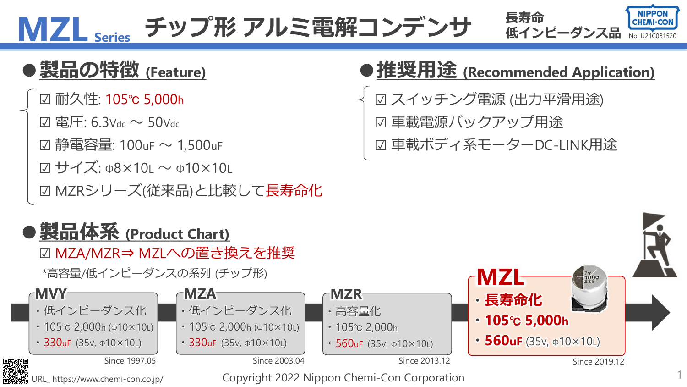MZL Series チップ形 アルミ電解コンデンサ ほインピーダンス品 No. U21C081520



☑ 耐久性: 105℃ 5,000h

☑ 電圧: 6.3Vdc ~ 50Vdc

☑ 静電容量: 100uF ~ 1,500uF

☑ サイズ: Φ8×10L ~ Φ10×10L

☑ MZRシリーズ(従来品)と比較して長寿命化

## **●製品体系 (Product Chart)**

☑ MZA/MZR⇒ MZLへの置き換えを推奨

\*高容量/低インピーダンスの系列 (チップ形)



## **●製品の特徴 (Feature) ●推奨用途 (Recommended Application)**

☑ スイッチング電源 (出力平滑用途) ☑ 車載電源バックアップ用途

☑ 車載ボディ系モーターDC-LINK用途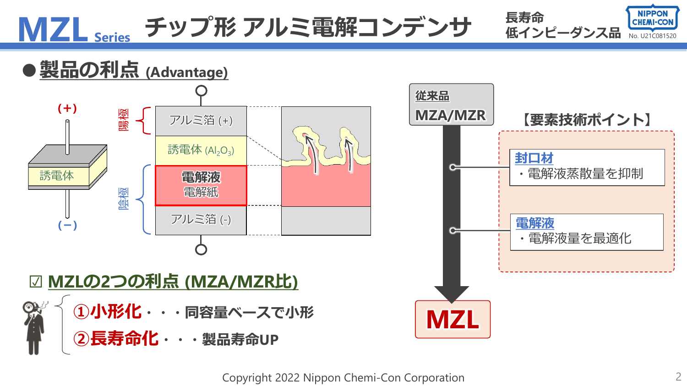

Copyright 2022 Nippon Chemi-Con Corporation 2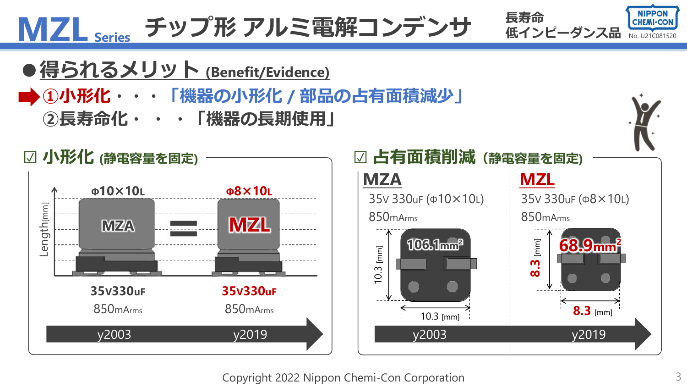

Copyright 2022 Nippon Chemi-Con Corporation 3